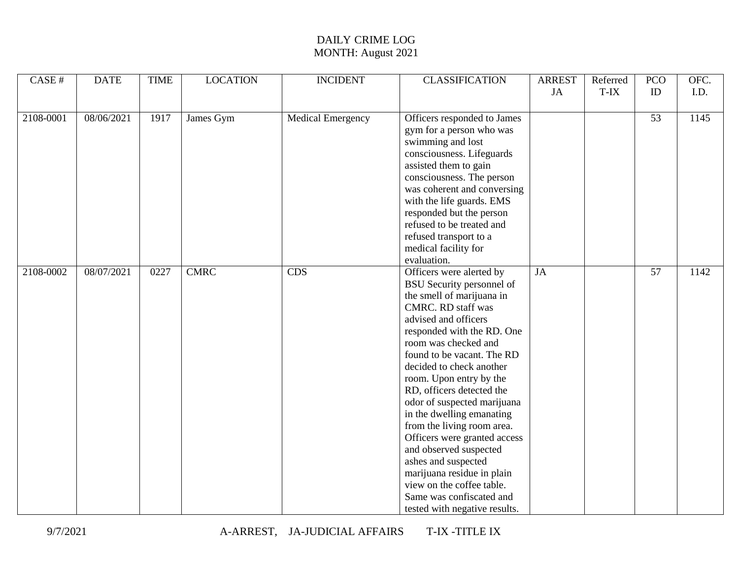| <b>LOCATION</b><br><b>CLASSIFICATION</b><br>CASE#<br><b>DATE</b><br><b>TIME</b><br><b>INCIDENT</b>      | <b>ARREST</b> | Referred | <b>PCO</b>      | OFC. |
|---------------------------------------------------------------------------------------------------------|---------------|----------|-----------------|------|
|                                                                                                         | JA            | T-IX     | ID              | I.D. |
|                                                                                                         |               |          |                 |      |
| 08/06/2021<br>2108-0001<br>1917<br>James Gym<br><b>Medical Emergency</b><br>Officers responded to James |               |          | $\overline{53}$ | 1145 |
| gym for a person who was                                                                                |               |          |                 |      |
| swimming and lost                                                                                       |               |          |                 |      |
| consciousness. Lifeguards                                                                               |               |          |                 |      |
| assisted them to gain                                                                                   |               |          |                 |      |
| consciousness. The person                                                                               |               |          |                 |      |
| was coherent and conversing                                                                             |               |          |                 |      |
| with the life guards. EMS                                                                               |               |          |                 |      |
| responded but the person                                                                                |               |          |                 |      |
| refused to be treated and                                                                               |               |          |                 |      |
| refused transport to a                                                                                  |               |          |                 |      |
| medical facility for                                                                                    |               |          |                 |      |
| evaluation.                                                                                             |               |          |                 |      |
| <b>CMRC</b><br>2108-0002<br>08/07/2021<br><b>CDS</b><br>Officers were alerted by<br>JA<br>0227          |               |          | 57              | 1142 |
| <b>BSU</b> Security personnel of                                                                        |               |          |                 |      |
| the smell of marijuana in                                                                               |               |          |                 |      |
| <b>CMRC. RD staff was</b>                                                                               |               |          |                 |      |
| advised and officers                                                                                    |               |          |                 |      |
| responded with the RD. One                                                                              |               |          |                 |      |
| room was checked and                                                                                    |               |          |                 |      |
| found to be vacant. The RD                                                                              |               |          |                 |      |
| decided to check another                                                                                |               |          |                 |      |
| room. Upon entry by the                                                                                 |               |          |                 |      |
| RD, officers detected the                                                                               |               |          |                 |      |
| odor of suspected marijuana                                                                             |               |          |                 |      |
| in the dwelling emanating                                                                               |               |          |                 |      |
| from the living room area.                                                                              |               |          |                 |      |
| Officers were granted access                                                                            |               |          |                 |      |
| and observed suspected                                                                                  |               |          |                 |      |
| ashes and suspected                                                                                     |               |          |                 |      |
| marijuana residue in plain                                                                              |               |          |                 |      |
| view on the coffee table.                                                                               |               |          |                 |      |
| Same was confiscated and                                                                                |               |          |                 |      |
| tested with negative results.                                                                           |               |          |                 |      |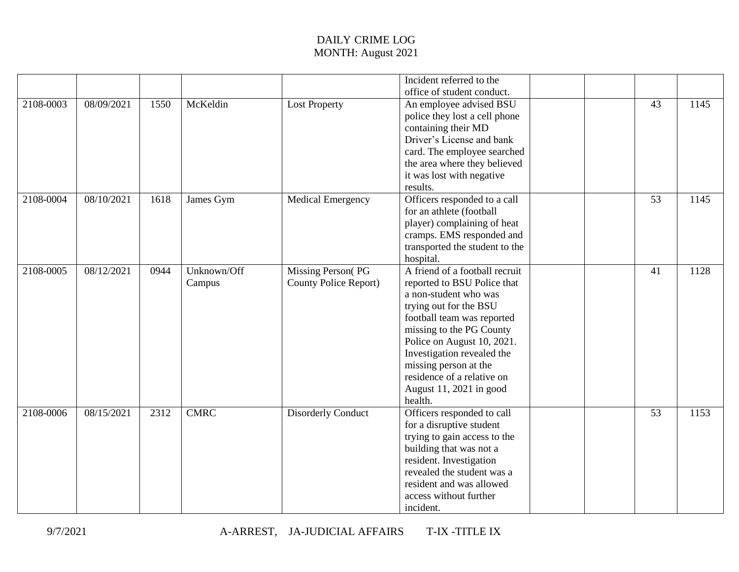|           |            |      |             |                              | Incident referred to the       |                 |      |
|-----------|------------|------|-------------|------------------------------|--------------------------------|-----------------|------|
|           |            |      |             |                              | office of student conduct.     |                 |      |
| 2108-0003 | 08/09/2021 | 1550 | McKeldin    | <b>Lost Property</b>         | An employee advised BSU        | 43              | 1145 |
|           |            |      |             |                              | police they lost a cell phone  |                 |      |
|           |            |      |             |                              | containing their MD            |                 |      |
|           |            |      |             |                              | Driver's License and bank      |                 |      |
|           |            |      |             |                              | card. The employee searched    |                 |      |
|           |            |      |             |                              | the area where they believed   |                 |      |
|           |            |      |             |                              | it was lost with negative      |                 |      |
|           |            |      |             |                              | results.                       |                 |      |
| 2108-0004 | 08/10/2021 | 1618 | James Gym   | <b>Medical Emergency</b>     | Officers responded to a call   | 53              | 1145 |
|           |            |      |             |                              | for an athlete (football       |                 |      |
|           |            |      |             |                              | player) complaining of heat    |                 |      |
|           |            |      |             |                              | cramps. EMS responded and      |                 |      |
|           |            |      |             |                              | transported the student to the |                 |      |
|           |            |      |             |                              | hospital.                      |                 |      |
| 2108-0005 | 08/12/2021 | 0944 | Unknown/Off | <b>Missing Person(PG</b>     | A friend of a football recruit | 41              | 1128 |
|           |            |      | Campus      | <b>County Police Report)</b> | reported to BSU Police that    |                 |      |
|           |            |      |             |                              | a non-student who was          |                 |      |
|           |            |      |             |                              | trying out for the BSU         |                 |      |
|           |            |      |             |                              | football team was reported     |                 |      |
|           |            |      |             |                              | missing to the PG County       |                 |      |
|           |            |      |             |                              | Police on August 10, 2021.     |                 |      |
|           |            |      |             |                              | Investigation revealed the     |                 |      |
|           |            |      |             |                              | missing person at the          |                 |      |
|           |            |      |             |                              | residence of a relative on     |                 |      |
|           |            |      |             |                              | August 11, 2021 in good        |                 |      |
|           |            |      |             |                              | health.                        |                 |      |
| 2108-0006 | 08/15/2021 | 2312 | <b>CMRC</b> | <b>Disorderly Conduct</b>    | Officers responded to call     | $\overline{53}$ | 1153 |
|           |            |      |             |                              | for a disruptive student       |                 |      |
|           |            |      |             |                              | trying to gain access to the   |                 |      |
|           |            |      |             |                              | building that was not a        |                 |      |
|           |            |      |             |                              | resident. Investigation        |                 |      |
|           |            |      |             |                              | revealed the student was a     |                 |      |
|           |            |      |             |                              | resident and was allowed       |                 |      |
|           |            |      |             |                              | access without further         |                 |      |
|           |            |      |             |                              | incident.                      |                 |      |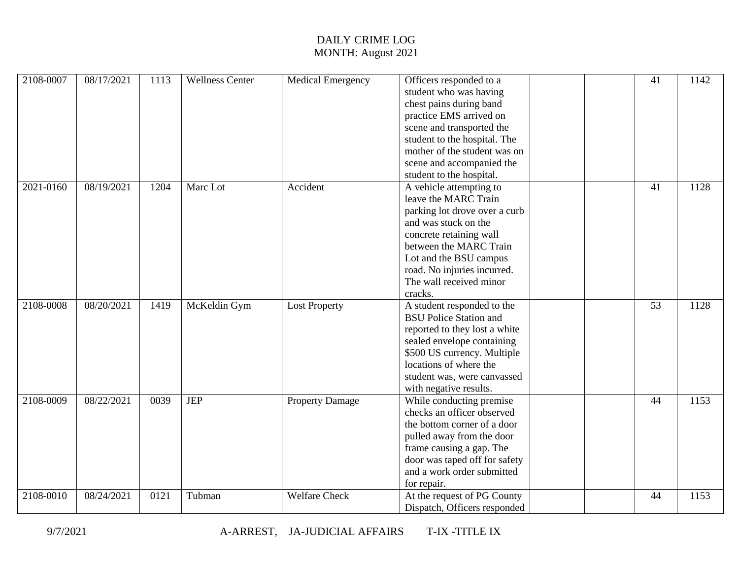| 2108-0007 | 08/17/2021 | 1113 | <b>Wellness Center</b> | <b>Medical Emergency</b> | Officers responded to a       | 41 | 1142 |
|-----------|------------|------|------------------------|--------------------------|-------------------------------|----|------|
|           |            |      |                        |                          | student who was having        |    |      |
|           |            |      |                        |                          | chest pains during band       |    |      |
|           |            |      |                        |                          | practice EMS arrived on       |    |      |
|           |            |      |                        |                          | scene and transported the     |    |      |
|           |            |      |                        |                          | student to the hospital. The  |    |      |
|           |            |      |                        |                          | mother of the student was on  |    |      |
|           |            |      |                        |                          | scene and accompanied the     |    |      |
|           |            |      |                        |                          | student to the hospital.      |    |      |
| 2021-0160 | 08/19/2021 | 1204 | Marc Lot               | Accident                 | A vehicle attempting to       | 41 | 1128 |
|           |            |      |                        |                          | leave the MARC Train          |    |      |
|           |            |      |                        |                          | parking lot drove over a curb |    |      |
|           |            |      |                        |                          | and was stuck on the          |    |      |
|           |            |      |                        |                          | concrete retaining wall       |    |      |
|           |            |      |                        |                          | between the MARC Train        |    |      |
|           |            |      |                        |                          | Lot and the BSU campus        |    |      |
|           |            |      |                        |                          | road. No injuries incurred.   |    |      |
|           |            |      |                        |                          | The wall received minor       |    |      |
|           |            |      |                        |                          | cracks.                       |    |      |
| 2108-0008 | 08/20/2021 | 1419 | McKeldin Gym           | <b>Lost Property</b>     | A student responded to the    | 53 | 1128 |
|           |            |      |                        |                          | <b>BSU Police Station and</b> |    |      |
|           |            |      |                        |                          | reported to they lost a white |    |      |
|           |            |      |                        |                          | sealed envelope containing    |    |      |
|           |            |      |                        |                          | \$500 US currency. Multiple   |    |      |
|           |            |      |                        |                          | locations of where the        |    |      |
|           |            |      |                        |                          | student was, were canvassed   |    |      |
|           |            |      |                        |                          | with negative results.        |    |      |
| 2108-0009 | 08/22/2021 | 0039 | <b>JEP</b>             | <b>Property Damage</b>   | While conducting premise      | 44 | 1153 |
|           |            |      |                        |                          | checks an officer observed    |    |      |
|           |            |      |                        |                          | the bottom corner of a door   |    |      |
|           |            |      |                        |                          | pulled away from the door     |    |      |
|           |            |      |                        |                          | frame causing a gap. The      |    |      |
|           |            |      |                        |                          | door was taped off for safety |    |      |
|           |            |      |                        |                          | and a work order submitted    |    |      |
|           |            |      |                        |                          | for repair.                   |    |      |
| 2108-0010 | 08/24/2021 | 0121 | Tubman                 | <b>Welfare Check</b>     | At the request of PG County   | 44 | 1153 |
|           |            |      |                        |                          | Dispatch, Officers responded  |    |      |
|           |            |      |                        |                          |                               |    |      |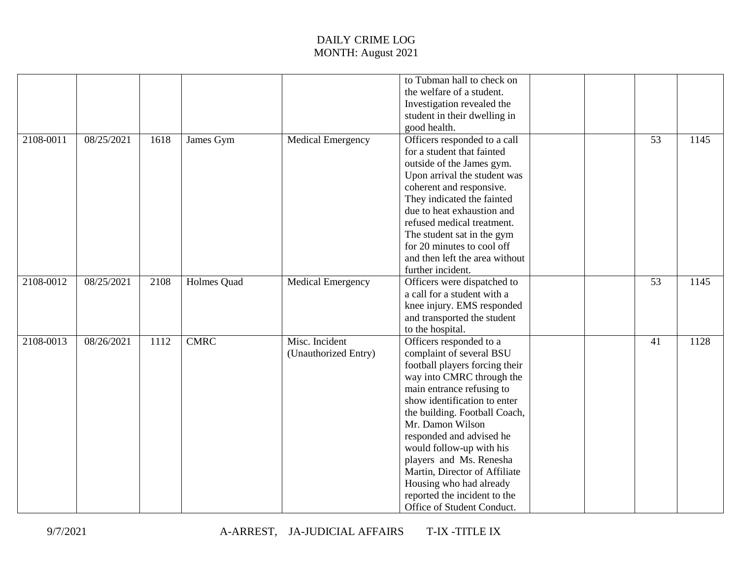|           |                    |             |                          | to Tubman hall to check on     |    |      |
|-----------|--------------------|-------------|--------------------------|--------------------------------|----|------|
|           |                    |             |                          | the welfare of a student.      |    |      |
|           |                    |             |                          | Investigation revealed the     |    |      |
|           |                    |             |                          | student in their dwelling in   |    |      |
|           |                    |             |                          | good health.                   |    |      |
| 2108-0011 | 1618<br>08/25/2021 | James Gym   | <b>Medical Emergency</b> | Officers responded to a call   | 53 | 1145 |
|           |                    |             |                          | for a student that fainted     |    |      |
|           |                    |             |                          | outside of the James gym.      |    |      |
|           |                    |             |                          |                                |    |      |
|           |                    |             |                          | Upon arrival the student was   |    |      |
|           |                    |             |                          | coherent and responsive.       |    |      |
|           |                    |             |                          | They indicated the fainted     |    |      |
|           |                    |             |                          | due to heat exhaustion and     |    |      |
|           |                    |             |                          | refused medical treatment.     |    |      |
|           |                    |             |                          | The student sat in the gym     |    |      |
|           |                    |             |                          | for 20 minutes to cool off     |    |      |
|           |                    |             |                          | and then left the area without |    |      |
|           |                    |             |                          | further incident.              |    |      |
| 2108-0012 | 08/25/2021<br>2108 | Holmes Quad | <b>Medical Emergency</b> | Officers were dispatched to    | 53 | 1145 |
|           |                    |             |                          | a call for a student with a    |    |      |
|           |                    |             |                          | knee injury. EMS responded     |    |      |
|           |                    |             |                          | and transported the student    |    |      |
|           |                    |             |                          | to the hospital.               |    |      |
| 2108-0013 | 08/26/2021<br>1112 | <b>CMRC</b> | Misc. Incident           | Officers responded to a        | 41 | 1128 |
|           |                    |             | (Unauthorized Entry)     | complaint of several BSU       |    |      |
|           |                    |             |                          | football players forcing their |    |      |
|           |                    |             |                          | way into CMRC through the      |    |      |
|           |                    |             |                          | main entrance refusing to      |    |      |
|           |                    |             |                          | show identification to enter   |    |      |
|           |                    |             |                          | the building. Football Coach,  |    |      |
|           |                    |             |                          | Mr. Damon Wilson               |    |      |
|           |                    |             |                          | responded and advised he       |    |      |
|           |                    |             |                          | would follow-up with his       |    |      |
|           |                    |             |                          | players and Ms. Renesha        |    |      |
|           |                    |             |                          | Martin, Director of Affiliate  |    |      |
|           |                    |             |                          | Housing who had already        |    |      |
|           |                    |             |                          |                                |    |      |
|           |                    |             |                          | reported the incident to the   |    |      |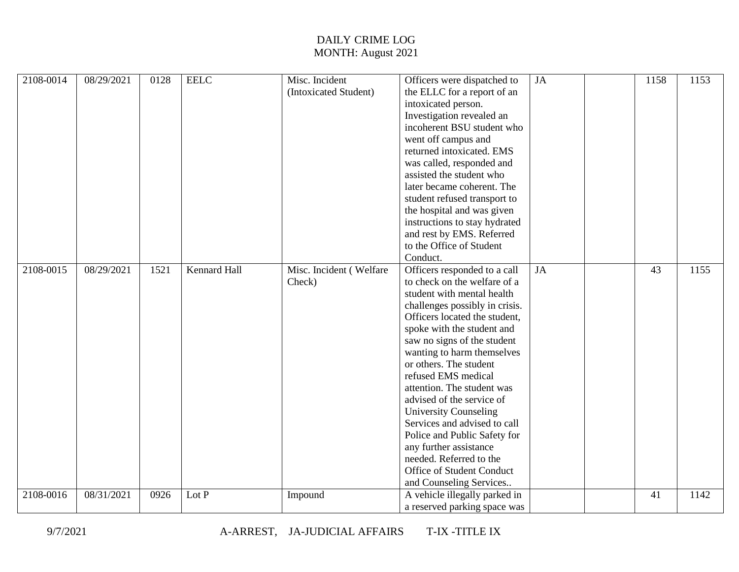| <b>EELC</b><br>Misc. Incident<br>JA<br>2108-0014<br>08/29/2021<br>0128<br>Officers were dispatched to                   | 1158 | 1153 |
|-------------------------------------------------------------------------------------------------------------------------|------|------|
| (Intoxicated Student)<br>the ELLC for a report of an                                                                    |      |      |
| intoxicated person.                                                                                                     |      |      |
| Investigation revealed an                                                                                               |      |      |
| incoherent BSU student who                                                                                              |      |      |
| went off campus and                                                                                                     |      |      |
| returned intoxicated. EMS                                                                                               |      |      |
| was called, responded and                                                                                               |      |      |
| assisted the student who                                                                                                |      |      |
| later became coherent. The                                                                                              |      |      |
| student refused transport to                                                                                            |      |      |
| the hospital and was given                                                                                              |      |      |
| instructions to stay hydrated                                                                                           |      |      |
| and rest by EMS. Referred                                                                                               |      |      |
| to the Office of Student                                                                                                |      |      |
| Conduct.                                                                                                                |      |      |
| <b>Kennard Hall</b><br>2108-0015<br>08/29/2021<br>1521<br>Misc. Incident (Welfare<br>Officers responded to a call<br>JA | 43   | 1155 |
| to check on the welfare of a<br>Check)                                                                                  |      |      |
| student with mental health                                                                                              |      |      |
| challenges possibly in crisis.                                                                                          |      |      |
| Officers located the student,                                                                                           |      |      |
| spoke with the student and                                                                                              |      |      |
| saw no signs of the student                                                                                             |      |      |
| wanting to harm themselves                                                                                              |      |      |
| or others. The student                                                                                                  |      |      |
| refused EMS medical                                                                                                     |      |      |
| attention. The student was                                                                                              |      |      |
| advised of the service of                                                                                               |      |      |
| <b>University Counseling</b>                                                                                            |      |      |
| Services and advised to call                                                                                            |      |      |
| Police and Public Safety for                                                                                            |      |      |
| any further assistance                                                                                                  |      |      |
| needed. Referred to the                                                                                                 |      |      |
| Office of Student Conduct                                                                                               |      |      |
| and Counseling Services                                                                                                 |      |      |
| 2108-0016<br>08/31/2021<br>0926<br>Lot P<br>A vehicle illegally parked in<br>Impound                                    |      |      |
|                                                                                                                         | 41   | 1142 |